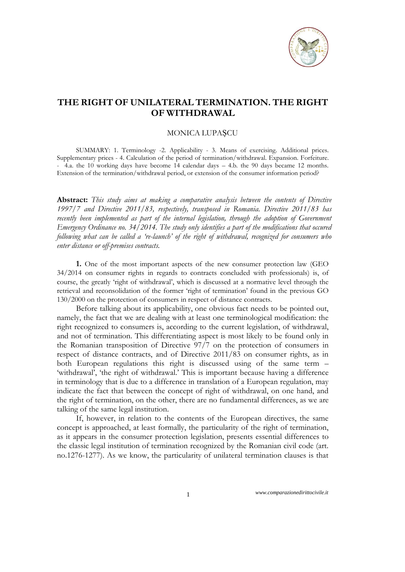

# **THE RIGHT OF UNILATERAL TERMINATION. THE RIGHT OF WITHDRAWAL**

### MONICA LUPAȘCU

SUMMARY: 1. Terminology -2. Applicability - 3. Means of exercising. Additional prices. Supplementary prices - 4. Calculation of the period of termination/withdrawal. Expansion. Forfeiture. - 4.a. the 10 working days have become 14 calendar days – 4.b. the 90 days became 12 months. Extension of the termination/withdrawal period, or extension of the consumer information period?

**Abstract:** *This study aims at making a comparative analysis between the contents of Directive 1997/7 and Directive 2011/83, respectively, transposed in Romania. Directive 2011/83 has*  recently been implemented as part of the internal legislation, through the adoption of Government *Emergency Ordinance no. 34/2014. The study only identifies a part of the modifications that occured following what can be called a 're-launch' of the right of withdrawal, recognized for consumers who enter distance or off-premises contracts.*

**1.** One of the most important aspects of the new consumer protection law (GEO 34/2014 on consumer rights in regards to contracts concluded with professionals) is, of course, the greatly 'right of withdrawal', which is discussed at a normative level through the retrieval and reconsolidation of the former 'right of termination' found in the previous GO 130/2000 on the protection of consumers in respect of distance contracts.

Before talking about its applicability, one obvious fact needs to be pointed out, namely, the fact that we are dealing with at least one terminological modification: the right recognized to consumers is, according to the current legislation, of withdrawal, and not of termination. This differentiating aspect is most likely to be found only in the Romanian transposition of Directive 97/7 on the protection of consumers in respect of distance contracts, and of Directive 2011/83 on consumer rights, as in both European regulations this right is discussed using of the same term – 'withdrawal', 'the right of withdrawal.' This is important because having a difference in terminology that is due to a difference in translation of a European regulation, may indicate the fact that between the concept of right of withdrawal, on one hand, and the right of termination, on the other, there are no fundamental differences, as we are talking of the same legal institution.

If, however, in relation to the contents of the European directives, the same concept is approached, at least formally, the particularity of the right of termination, as it appears in the consumer protection legislation, presents essential differences to the classic legal institution of termination recognized by the Romanian civil code (art. no.1276-1277). As we know, the particularity of unilateral termination clauses is that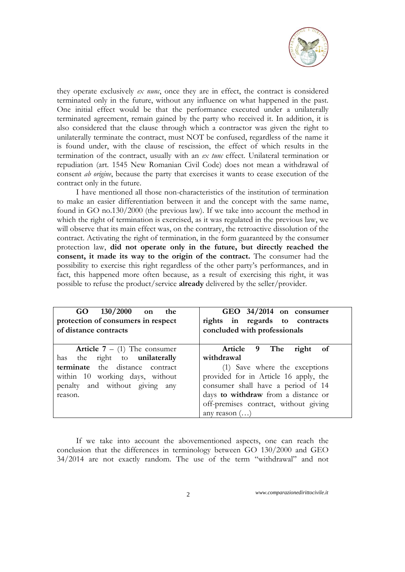

they operate exclusively *ex nunc*, once they are in effect, the contract is considered terminated only in the future, without any influence on what happened in the past. One initial effect would be that the performance executed under a unilaterally terminated agreement, remain gained by the party who received it. In addition, it is also considered that the clause through which a contractor was given the right to unilaterally terminate the contract, must NOT be confused, regardless of the name it is found under, with the clause of rescission, the effect of which results in the termination of the contract, usually with an *ex tunc* effect. Unilateral termination or repudiation (art. 1545 New Romanian Civil Code) does not mean a withdrawal of consent *ab origine*, because the party that exercises it wants to cease execution of the contract only in the future.

I have mentioned all those non-characteristics of the institution of termination to make an easier differentiation between it and the concept with the same name, found in GO no.130/2000 (the previous law). If we take into account the method in which the right of termination is exercised, as it was regulated in the previous law, we will observe that its main effect was, on the contrary, the retroactive dissolution of the contract. Activating the right of termination, in the form guaranteed by the consumer protection law, **did not operate only in the future, but directly reached the consent, it made its way to the origin of the contract.** The consumer had the possibility to exercise this right regardless of the other party's performances, and in fact, this happened more often because, as a result of exercising this right, it was possible to refuse the product/service **already** delivered by the seller/provider.

| 130/2000 on<br>GO<br>the<br>protection of consumers in respect<br>of distance contracts                                                                                                        | GEO 34/2014 on consumer<br>rights in regards to contracts<br>concluded with professionals                                                                                                                                                                              |
|------------------------------------------------------------------------------------------------------------------------------------------------------------------------------------------------|------------------------------------------------------------------------------------------------------------------------------------------------------------------------------------------------------------------------------------------------------------------------|
| <b>Article 7</b> – (1) The consumer<br>has the right to <b>unilaterally</b><br>terminate the distance contract<br>within 10 working days, without<br>penalty and without giving any<br>reason. | The<br>Article 9<br>right<br>$\alpha$<br>withdrawal<br>(1) Save where the exceptions<br>provided for in Article 16 apply, the<br>consumer shall have a period of 14<br>days to withdraw from a distance or<br>off-premises contract, without giving<br>any reason $()$ |

If we take into account the abovementioned aspects, one can reach the conclusion that the differences in terminology between GO 130/2000 and GEO 34/2014 are not exactly random. The use of the term "withdrawal" and not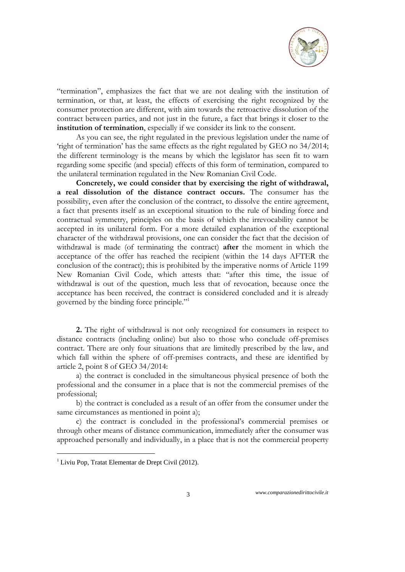

"termination", emphasizes the fact that we are not dealing with the institution of termination, or that, at least, the effects of exercising the right recognized by the consumer protection are different, with aim towards the retroactive dissolution of the contract between parties, and not just in the future, a fact that brings it closer to the **institution of termination**, especially if we consider its link to the consent.

As you can see, the right regulated in the previous legislation under the name of 'right of termination' has the same effects as the right regulated by GEO no 34/2014; the different terminology is the means by which the legislator has seen fit to warn regarding some specific (and special) effects of this form of termination, compared to the unilateral termination regulated in the New Romanian Civil Code.

**Concretely, we could consider that by exercising the right of withdrawal, a real dissolution of the distance contract occurs.** The consumer has the possibility, even after the conclusion of the contract, to dissolve the entire agreement, a fact that presents itself as an exceptional situation to the rule of binding force and contractual symmetry, principles on the basis of which the irrevocability cannot be accepted in its unilateral form. For a more detailed explanation of the exceptional character of the withdrawal provisions, one can consider the fact that the decision of withdrawal is made (of terminating the contract) **after** the moment in which the acceptance of the offer has reached the recipient (within the 14 days AFTER the conclusion of the contract); this is prohibited by the imperative norms of Article 1199 New Romanian Civil Code, which attests that: "after this time, the issue of withdrawal is out of the question, much less that of revocation, because once the acceptance has been received, the contract is considered concluded and it is already governed by the binding force principle."<sup>1</sup>

**2.** The right of withdrawal is not only recognized for consumers in respect to distance contracts (including online) but also to those who conclude off-premises contract. There are only four situations that are limitedly prescribed by the law, and which fall within the sphere of off-premises contracts, and these are identified by article 2, point 8 of GEO 34/2014:

a) the contract is concluded in the simultaneous physical presence of both the professional and the consumer in a place that is not the commercial premises of the professional;

b) the contract is concluded as a result of an offer from the consumer under the same circumstances as mentioned in point a);

c) the contract is concluded in the professional's commercial premises or through other means of distance communication, immediately after the consumer was approached personally and individually, in a place that is not the commercial property

<u>.</u>

*www.comparazionedirittocivile.it*

 $1$  Liviu Pop, Tratat Elementar de Drept Civil (2012).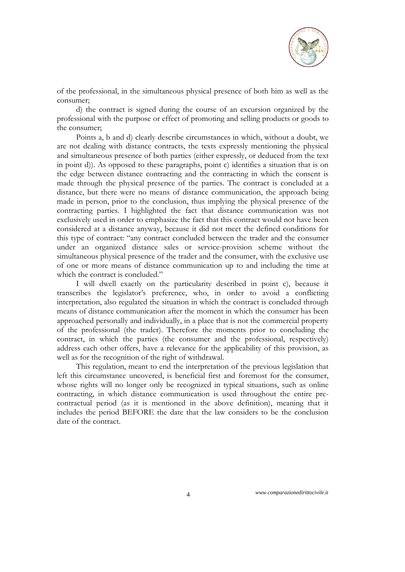

of the professional, in the simultaneous physical presence of both him as well as the consumer;

d) the contract is signed during the course of an excursion organized by the professional with the purpose or effect of promoting and selling products or goods to the consumer;

Points a, b and d) clearly describe circumstances in which, without a doubt, we are not dealing with distance contracts, the texts expressly mentioning the physical and simultaneous presence of both parties (either expressly, or deduced from the text in point d)). As opposed to these paragraphs, point c) identifies a situation that is on the edge between distance contracting and the contracting in which the consent is made through the physical presence of the parties. The contract is concluded at a distance, but there were no means of distance communication, the approach being made in person, prior to the conclusion, thus implying the physical presence of the contracting parties. I highlighted the fact that distance communication was not exclusively used in order to emphasize the fact that this contract would not have been considered at a distance anyway, because it did not meet the defined conditions for this type of contract: "any contract concluded between the trader and the consumer under an organized distance sales or service-provision scheme without the simultaneous physical presence of the trader and the consumer, with the exclusive use of one or more means of distance communication up to and including the time at which the contract is concluded."

I will dwell exactly on the particularity described in point c), because it transcribes the legislator's preference, who, in order to avoid a conflicting interpretation, also regulated the situation in which the contract is concluded through means of distance communication after the moment in which the consumer has been approached personally and individually, in a place that is not the commercial property of the professional (the trader). Therefore the moments prior to concluding the contract, in which the parties (the consumer and the professional, respectively) address each other offers, have a relevance for the applicability of this provision, as well as for the recognition of the right of withdrawal.

This regulation, meant to end the interpretation of the previous legislation that left this circumstance uncovered, is beneficial first and foremost for the consumer, whose rights will no longer only be recognized in typical situations, such as online contracting, in which distance communication is used throughout the entire precontractual period (as it is mentioned in the above definition), meaning that it includes the period BEFORE the date that the law considers to be the conclusion date of the contract.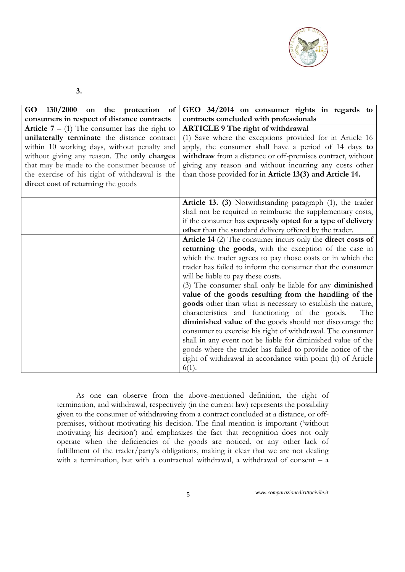

| <b>GO</b><br>130/2000<br>on the protection<br>$\alpha$ | GEO 34/2014 on consumer rights in regards to                    |
|--------------------------------------------------------|-----------------------------------------------------------------|
| consumers in respect of distance contracts             | contracts concluded with professionals                          |
| <b>Article 7</b> – (1) The consumer has the right to   | <b>ARTICLE 9 The right of withdrawal</b>                        |
| unilaterally terminate the distance contract           | (1) Save where the exceptions provided for in Article 16        |
| within 10 working days, without penalty and            | apply, the consumer shall have a period of 14 days to           |
| without giving any reason. The only charges            | withdraw from a distance or off-premises contract, without      |
| that may be made to the consumer because of            | giving any reason and without incurring any costs other         |
| the exercise of his right of withdrawal is the         | than those provided for in Article 13(3) and Article 14.        |
| direct cost of returning the goods                     |                                                                 |
|                                                        |                                                                 |
|                                                        | Article 13. (3) Notwithstanding paragraph (1), the trader       |
|                                                        | shall not be required to reimburse the supplementary costs,     |
|                                                        | if the consumer has expressly opted for a type of delivery      |
|                                                        | other than the standard delivery offered by the trader.         |
|                                                        | Article 14 (2) The consumer incurs only the direct costs of     |
|                                                        | returning the goods, with the exception of the case in          |
|                                                        | which the trader agrees to pay those costs or in which the      |
|                                                        | trader has failed to inform the consumer that the consumer      |
|                                                        | will be liable to pay these costs.                              |
|                                                        | (3) The consumer shall only be liable for any <b>diminished</b> |
|                                                        | value of the goods resulting from the handling of the           |
|                                                        | goods other than what is necessary to establish the nature,     |
|                                                        | characteristics and functioning of the goods.<br><b>The</b>     |
|                                                        | diminished value of the goods should not discourage the         |
|                                                        | consumer to exercise his right of withdrawal. The consumer      |
|                                                        | shall in any event not be liable for diminished value of the    |
|                                                        | goods where the trader has failed to provide notice of the      |
|                                                        | right of withdrawal in accordance with point (h) of Article     |
|                                                        | $6(1)$ .                                                        |

As one can observe from the above-mentioned definition, the right of termination, and withdrawal, respectively (in the current law) represents the possibility given to the consumer of withdrawing from a contract concluded at a distance, or offpremises, without motivating his decision. The final mention is important ('without motivating his decision') and emphasizes the fact that recognition does not only operate when the deficiencies of the goods are noticed, or any other lack of fulfillment of the trader/party's obligations, making it clear that we are not dealing with a termination, but with a contractual withdrawal, a withdrawal of consent – a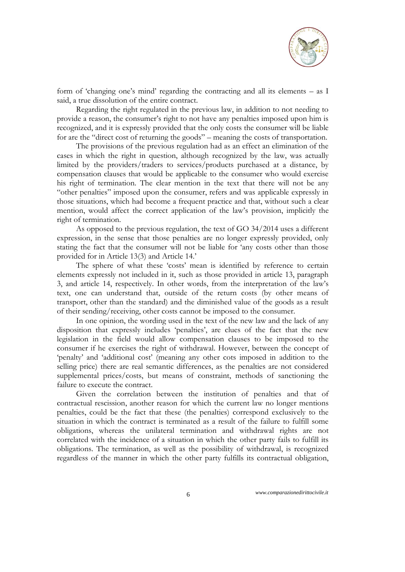

form of 'changing one's mind' regarding the contracting and all its elements – as I said, a true dissolution of the entire contract.

Regarding the right regulated in the previous law, in addition to not needing to provide a reason, the consumer's right to not have any penalties imposed upon him is recognized, and it is expressly provided that the only costs the consumer will be liable for are the "direct cost of returning the goods" – meaning the costs of transportation.

The provisions of the previous regulation had as an effect an elimination of the cases in which the right in question, although recognized by the law, was actually limited by the providers/traders to services/products purchased at a distance, by compensation clauses that would be applicable to the consumer who would exercise his right of termination. The clear mention in the text that there will not be any "other penalties" imposed upon the consumer, refers and was applicable expressly in those situations, which had become a frequent practice and that, without such a clear mention, would affect the correct application of the law's provision, implicitly the right of termination.

As opposed to the previous regulation, the text of GO 34/2014 uses a different expression, in the sense that those penalties are no longer expressly provided, only stating the fact that the consumer will not be liable for 'any costs other than those provided for in Article 13(3) and Article 14.'

The sphere of what these 'costs' mean is identified by reference to certain elements expressly not included in it, such as those provided in article 13, paragraph 3, and article 14, respectively. In other words, from the interpretation of the law's text, one can understand that, outside of the return costs (by other means of transport, other than the standard) and the diminished value of the goods as a result of their sending/receiving, other costs cannot be imposed to the consumer.

In one opinion, the wording used in the text of the new law and the lack of any disposition that expressly includes 'penalties', are clues of the fact that the new legislation in the field would allow compensation clauses to be imposed to the consumer if he exercises the right of withdrawal. However, between the concept of 'penalty' and 'additional cost' (meaning any other cots imposed in addition to the selling price) there are real semantic differences, as the penalties are not considered supplemental prices/costs, but means of constraint, methods of sanctioning the failure to execute the contract.

Given the correlation between the institution of penalties and that of contractual rescission, another reason for which the current law no longer mentions penalties, could be the fact that these (the penalties) correspond exclusively to the situation in which the contract is terminated as a result of the failure to fulfill some obligations, whereas the unilateral termination and withdrawal rights are not correlated with the incidence of a situation in which the other party fails to fulfill its obligations. The termination, as well as the possibility of withdrawal, is recognized regardless of the manner in which the other party fulfills its contractual obligation,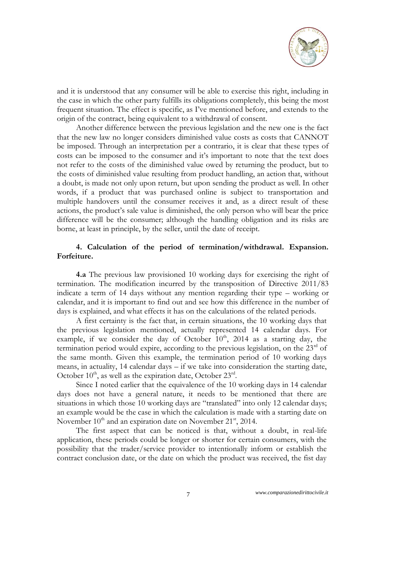

and it is understood that any consumer will be able to exercise this right, including in the case in which the other party fulfills its obligations completely, this being the most frequent situation. The effect is specific, as I've mentioned before, and extends to the origin of the contract, being equivalent to a withdrawal of consent.

Another difference between the previous legislation and the new one is the fact that the new law no longer considers diminished value costs as costs that CANNOT be imposed. Through an interpretation per a contrario, it is clear that these types of costs can be imposed to the consumer and it's important to note that the text does not refer to the costs of the diminished value owed by returning the product, but to the costs of diminished value resulting from product handling, an action that, without a doubt, is made not only upon return, but upon sending the product as well. In other words, if a product that was purchased online is subject to transportation and multiple handovers until the consumer receives it and, as a direct result of these actions, the product's sale value is diminished, the only person who will bear the price difference will be the consumer; although the handling obligation and its risks are borne, at least in principle, by the seller, until the date of receipt.

# **4. Calculation of the period of termination/withdrawal. Expansion. Forfeiture.**

**4.a** The previous law provisioned 10 working days for exercising the right of termination. The modification incurred by the transposition of Directive 2011/83 indicate a term of 14 days without any mention regarding their type – working or calendar, and it is important to find out and see how this difference in the number of days is explained, and what effects it has on the calculations of the related periods.

A first certainty is the fact that, in certain situations, the 10 working days that the previous legislation mentioned, actually represented 14 calendar days. For example, if we consider the day of October  $10<sup>th</sup>$ , 2014 as a starting day, the termination period would expire, according to the previous legislation, on the 23<sup>rd</sup> of the same month. Given this example, the termination period of 10 working days means, in actuality, 14 calendar days – if we take into consideration the starting date, October  $10^{th}$ , as well as the expiration date, October  $23^{rd}$ .

Since I noted earlier that the equivalence of the 10 working days in 14 calendar days does not have a general nature, it needs to be mentioned that there are situations in which those 10 working days are "translated" into only 12 calendar days; an example would be the case in which the calculation is made with a starting date on November  $10<sup>th</sup>$  and an expiration date on November  $21<sup>st</sup>$ , 2014.

The first aspect that can be noticed is that, without a doubt, in real-life application, these periods could be longer or shorter for certain consumers, with the possibility that the trader/service provider to intentionally inform or establish the contract conclusion date, or the date on which the product was received, the fist day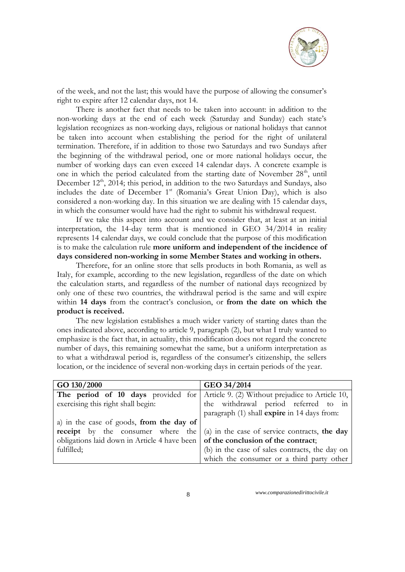

of the week, and not the last; this would have the purpose of allowing the consumer's right to expire after 12 calendar days, not 14.

There is another fact that needs to be taken into account: in addition to the non-working days at the end of each week (Saturday and Sunday) each state's legislation recognizes as non-working days, religious or national holidays that cannot be taken into account when establishing the period for the right of unilateral termination. Therefore, if in addition to those two Saturdays and two Sundays after the beginning of the withdrawal period, one or more national holidays occur, the number of working days can even exceed 14 calendar days. A concrete example is one in which the period calculated from the starting date of November 28<sup>th</sup>, until December  $12<sup>th</sup>$ , 2014; this period, in addition to the two Saturdays and Sundays, also includes the date of December  $1<sup>st</sup>$  (Romania's Great Union Day), which is also considered a non-working day. In this situation we are dealing with 15 calendar days, in which the consumer would have had the right to submit his withdrawal request.

If we take this aspect into account and we consider that, at least at an initial interpretation, the 14-day term that is mentioned in GEO 34/2014 in reality represents 14 calendar days, we could conclude that the purpose of this modification is to make the calculation rule **more uniform and independent of the incidence of days considered non-working in some Member States and working in others.**

Therefore, for an online store that sells products in both Romania, as well as Italy, for example, according to the new legislation, regardless of the date on which the calculation starts, and regardless of the number of national days recognized by only one of these two countries, the withdrawal period is the same and will expire within **14 days** from the contract's conclusion, or **from the date on which the product is received.**

The new legislation establishes a much wider variety of starting dates than the ones indicated above, according to article 9, paragraph (2), but what I truly wanted to emphasize is the fact that, in actuality, this modification does not regard the concrete number of days, this remaining somewhat the same, but a uniform interpretation as to what a withdrawal period is, regardless of the consumer's citizenship, the sellers location, or the incidence of several non-working days in certain periods of the year.

| GO 130/2000                                                                             | GEO 34/2014                                                                               |
|-----------------------------------------------------------------------------------------|-------------------------------------------------------------------------------------------|
|                                                                                         | <b>The period of 10 days</b> provided for Article 9. (2) Without prejudice to Article 10, |
| exercising this right shall begin:                                                      | the withdrawal period referred to in                                                      |
|                                                                                         | paragraph (1) shall <b>expire</b> in 14 days from:                                        |
| a) in the case of goods, from the day of                                                |                                                                                           |
| <b>receipt</b> by the consumer where the                                                | (a) in the case of service contracts, the day                                             |
| obligations laid down in Article 4 have been $\vert$ of the conclusion of the contract; |                                                                                           |
| fulfilled;                                                                              | (b) in the case of sales contracts, the day on                                            |
|                                                                                         | which the consumer or a third party other                                                 |

*www.comparazionedirittocivile.it*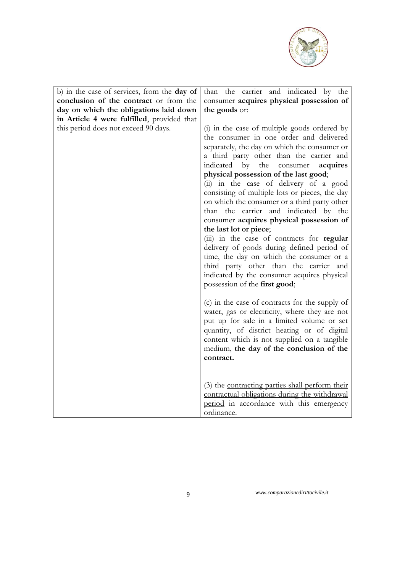

| b) in the case of services, from the day of | than the carrier and indicated by the                                                                                                                                                                                                                                                                |
|---------------------------------------------|------------------------------------------------------------------------------------------------------------------------------------------------------------------------------------------------------------------------------------------------------------------------------------------------------|
| conclusion of the contract or from the      | consumer acquires physical possession of                                                                                                                                                                                                                                                             |
| day on which the obligations laid down      | the goods or:                                                                                                                                                                                                                                                                                        |
| in Article 4 were fulfilled, provided that  |                                                                                                                                                                                                                                                                                                      |
| this period does not exceed 90 days.        | (i) in the case of multiple goods ordered by<br>the consumer in one order and delivered<br>separately, the day on which the consumer or<br>a third party other than the carrier and<br>indicated by the consumer<br>acquires<br>physical possession of the last good;                                |
|                                             | (ii) in the case of delivery of a good<br>consisting of multiple lots or pieces, the day<br>on which the consumer or a third party other<br>than the carrier and indicated by the                                                                                                                    |
|                                             | consumer acquires physical possession of                                                                                                                                                                                                                                                             |
|                                             | the last lot or piece;                                                                                                                                                                                                                                                                               |
|                                             | (iii) in the case of contracts for regular<br>delivery of goods during defined period of<br>time, the day on which the consumer or a<br>third party other than the carrier and<br>indicated by the consumer acquires physical<br>possession of the first good;                                       |
|                                             | (c) in the case of contracts for the supply of<br>water, gas or electricity, where they are not<br>put up for sale in a limited volume or set<br>quantity, of district heating or of digital<br>content which is not supplied on a tangible<br>medium, the day of the conclusion of the<br>contract. |
|                                             | (3) the <u>contracting parties shall perform their</u><br>contractual obligations during the withdrawal<br>period in accordance with this emergency<br>ordinance.                                                                                                                                    |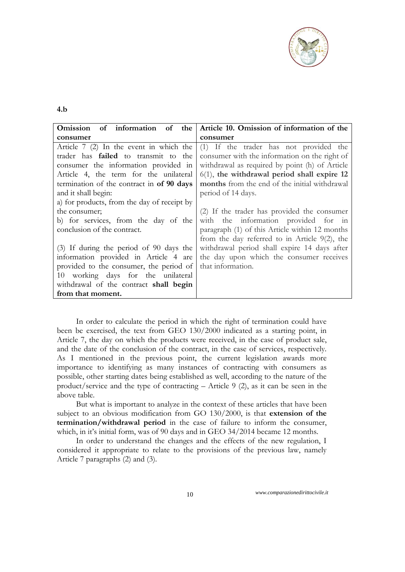

# **4.b**

| of information of the<br><b>Omission</b>    | Article 10. Omission of information of the       |
|---------------------------------------------|--------------------------------------------------|
| consumer                                    | consumer                                         |
| Article $7(2)$ In the event in which the    | (1) If the trader has not provided the           |
| trader has <b>failed</b> to transmit to the | consumer with the information on the right of    |
| consumer the information provided in        | withdrawal as required by point (h) of Article   |
| Article 4, the term for the unilateral      | $6(1)$ , the withdrawal period shall expire 12   |
| termination of the contract in of 90 days   | months from the end of the initial withdrawal    |
| and it shall begin:                         | period of 14 days.                               |
| a) for products, from the day of receipt by |                                                  |
| the consumer;                               | (2) If the trader has provided the consumer      |
| b) for services, from the day of the        | with the information provided for in             |
| conclusion of the contract.                 | paragraph (1) of this Article within 12 months   |
|                                             | from the day referred to in Article $9(2)$ , the |
| $(3)$ If during the period of 90 days the   | withdrawal period shall expire 14 days after     |
| information provided in Article 4 are       | the day upon which the consumer receives         |
| provided to the consumer, the period of     | that information.                                |
| 10 working days for the unilateral          |                                                  |
| withdrawal of the contract shall begin      |                                                  |
| from that moment.                           |                                                  |

In order to calculate the period in which the right of termination could have been be exercised, the text from GEO 130/2000 indicated as a starting point, in Article 7, the day on which the products were received, in the case of product sale, and the date of the conclusion of the contract, in the case of services, respectively. As I mentioned in the previous point, the current legislation awards more importance to identifying as many instances of contracting with consumers as possible, other starting dates being established as well, according to the nature of the product/service and the type of contracting – Article 9 (2), as it can be seen in the above table.

But what is important to analyze in the context of these articles that have been subject to an obvious modification from GO 130/2000, is that **extension of the termination/withdrawal period** in the case of failure to inform the consumer, which, in it's initial form, was of 90 days and in GEO 34/2014 became 12 months.

In order to understand the changes and the effects of the new regulation, I considered it appropriate to relate to the provisions of the previous law, namely Article 7 paragraphs (2) and (3).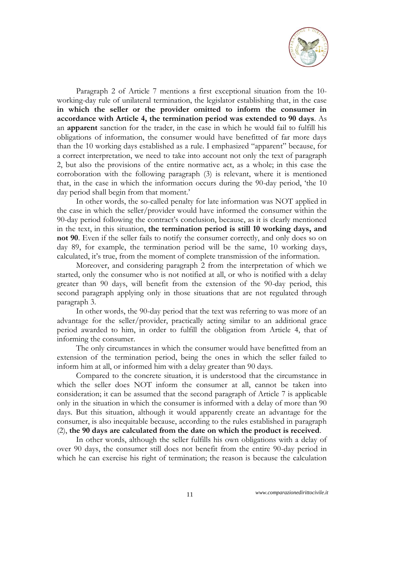

Paragraph 2 of Article 7 mentions a first exceptional situation from the 10 working-day rule of unilateral termination, the legislator establishing that, in the case **in which the seller or the provider omitted to inform the consumer in accordance with Article 4, the termination period was extended to 90 days**. As an **apparent** sanction for the trader, in the case in which he would fail to fulfill his obligations of information, the consumer would have benefitted of far more days than the 10 working days established as a rule. I emphasized "apparent" because, for a correct interpretation, we need to take into account not only the text of paragraph 2, but also the provisions of the entire normative act, as a whole; in this case the corroboration with the following paragraph (3) is relevant, where it is mentioned that, in the case in which the information occurs during the 90-day period, 'the 10 day period shall begin from that moment.'

In other words, the so-called penalty for late information was NOT applied in the case in which the seller/provider would have informed the consumer within the 90-day period following the contract's conclusion, because, as it is clearly mentioned in the text, in this situation, **the termination period is still 10 working days, and not 90**. Even if the seller fails to notify the consumer correctly, and only does so on day 89, for example, the termination period will be the same, 10 working days, calculated, it's true, from the moment of complete transmission of the information.

Moreover, and considering paragraph 2 from the interpretation of which we started, only the consumer who is not notified at all, or who is notified with a delay greater than 90 days, will benefit from the extension of the 90-day period, this second paragraph applying only in those situations that are not regulated through paragraph 3.

In other words, the 90-day period that the text was referring to was more of an advantage for the seller/provider, practically acting similar to an additional grace period awarded to him, in order to fulfill the obligation from Article 4, that of informing the consumer.

The only circumstances in which the consumer would have benefitted from an extension of the termination period, being the ones in which the seller failed to inform him at all, or informed him with a delay greater than 90 days.

Compared to the concrete situation, it is understood that the circumstance in which the seller does NOT inform the consumer at all, cannot be taken into consideration; it can be assumed that the second paragraph of Article 7 is applicable only in the situation in which the consumer is informed with a delay of more than 90 days. But this situation, although it would apparently create an advantage for the consumer, is also inequitable because, according to the rules established in paragraph (2), **the 90 days are calculated from the date on which the product is received**.

In other words, although the seller fulfills his own obligations with a delay of over 90 days, the consumer still does not benefit from the entire 90-day period in which he can exercise his right of termination; the reason is because the calculation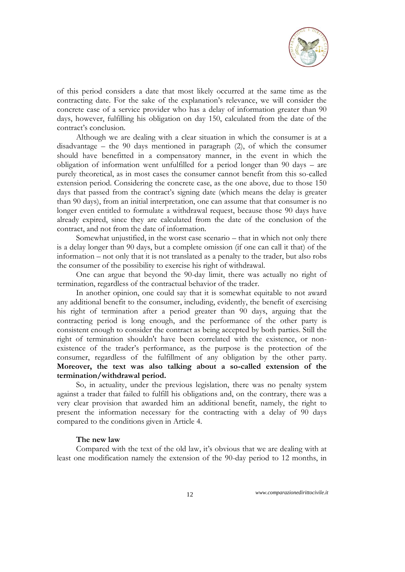

of this period considers a date that most likely occurred at the same time as the contracting date. For the sake of the explanation's relevance, we will consider the concrete case of a service provider who has a delay of information greater than 90 days, however, fulfilling his obligation on day 150, calculated from the date of the contract's conclusion.

Although we are dealing with a clear situation in which the consumer is at a disadvantage – the 90 days mentioned in paragraph (2), of which the consumer should have benefitted in a compensatory manner, in the event in which the obligation of information went unfulfilled for a period longer than 90 days – are purely theoretical, as in most cases the consumer cannot benefit from this so-called extension period. Considering the concrete case, as the one above, due to those 150 days that passed from the contract's signing date (which means the delay is greater than 90 days), from an initial interpretation, one can assume that that consumer is no longer even entitled to formulate a withdrawal request, because those 90 days have already expired, since they are calculated from the date of the conclusion of the contract, and not from the date of information.

Somewhat unjustified, in the worst case scenario – that in which not only there is a delay longer than 90 days, but a complete omission (if one can call it that) of the information – not only that it is not translated as a penalty to the trader, but also robs the consumer of the possibility to exercise his right of withdrawal.

One can argue that beyond the 90-day limit, there was actually no right of termination, regardless of the contractual behavior of the trader.

In another opinion, one could say that it is somewhat equitable to not award any additional benefit to the consumer, including, evidently, the benefit of exercising his right of termination after a period greater than 90 days, arguing that the contracting period is long enough, and the performance of the other party is consistent enough to consider the contract as being accepted by both parties. Still the right of termination shouldn't have been correlated with the existence, or nonexistence of the trader's performance, as the purpose is the protection of the consumer, regardless of the fulfillment of any obligation by the other party. **Moreover, the text was also talking about a so-called extension of the termination/withdrawal period.**

So, in actuality, under the previous legislation, there was no penalty system against a trader that failed to fulfill his obligations and, on the contrary, there was a very clear provision that awarded him an additional benefit, namely, the right to present the information necessary for the contracting with a delay of 90 days compared to the conditions given in Article 4.

#### **The new law**

Compared with the text of the old law, it's obvious that we are dealing with at least one modification namely the extension of the 90-day period to 12 months, in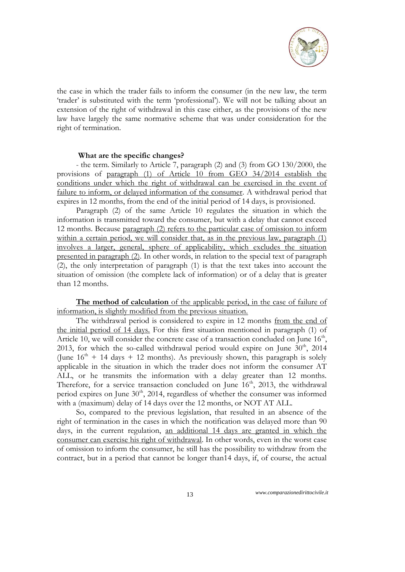

the case in which the trader fails to inform the consumer (in the new law, the term 'trader' is substituted with the term 'professional'). We will not be talking about an extension of the right of withdrawal in this case either, as the provisions of the new law have largely the same normative scheme that was under consideration for the right of termination.

#### **What are the specific changes?**

- the term. Similarly to Article 7, paragraph (2) and (3) from GO 130/2000, the provisions of paragraph (1) of Article 10 from GEO 34/2014 establish the conditions under which the right of withdrawal can be exercised in the event of failure to inform, or delayed information of the consumer. A withdrawal period that expires in 12 months, from the end of the initial period of 14 days, is provisioned.

Paragraph (2) of the same Article 10 regulates the situation in which the information is transmitted toward the consumer, but with a delay that cannot exceed 12 months. Because paragraph (2) refers to the particular case of omission to inform within a certain period, we will consider that, as in the previous law, paragraph (1) involves a larger, general, sphere of applicability, which excludes the situation presented in paragraph (2). In other words, in relation to the special text of paragraph (2), the only interpretation of paragraph (1) is that the text takes into account the situation of omission (the complete lack of information) or of a delay that is greater than 12 months.

**The method of calculation** of the applicable period, in the case of failure of information, is slightly modified from the previous situation.

The withdrawal period is considered to expire in 12 months from the end of the initial period of 14 days. For this first situation mentioned in paragraph (1) of Article 10, we will consider the concrete case of a transaction concluded on June  $16<sup>th</sup>$ , 2013, for which the so-called withdrawal period would expire on June  $30<sup>th</sup>$ , 2014 (June  $16<sup>th</sup> + 14$  days + 12 months). As previously shown, this paragraph is solely applicable in the situation in which the trader does not inform the consumer AT ALL, or he transmits the information with a delay greater than 12 months. Therefore, for a service transaction concluded on June  $16<sup>th</sup>$ , 2013, the withdrawal period expires on June  $30<sup>th</sup>$ , 2014, regardless of whether the consumer was informed with a (maximum) delay of 14 days over the 12 months, or NOT AT ALL.

So, compared to the previous legislation, that resulted in an absence of the right of termination in the cases in which the notification was delayed more than 90 days, in the current regulation, an additional 14 days are granted in which the consumer can exercise his right of withdrawal. In other words, even in the worst case of omission to inform the consumer, he still has the possibility to withdraw from the contract, but in a period that cannot be longer than14 days, if, of course, the actual